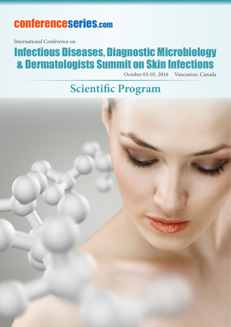# conferenceseries.com

International Conference on

# Infectious Diseases, Diagnostic Microbiology & Dermatologists Summit on Skin Infections

October 03-05, 2016 Vancouver, Canada

**Scientific Program**

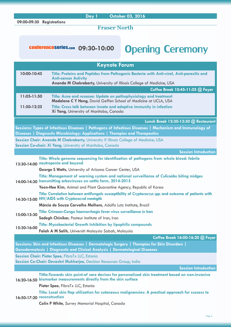#### **09:00-09:30 Registrations**

**Day 1 October 03, 2016**

**Fraser North**

# conferenceseries.com 09:30-10:00 Opening Ceremony

|                                                                                                                                                             | <b>Keynote Forum</b>                                                                                                                                                                     |  |
|-------------------------------------------------------------------------------------------------------------------------------------------------------------|------------------------------------------------------------------------------------------------------------------------------------------------------------------------------------------|--|
| 10:00-10:45                                                                                                                                                 | Title: Proteins and Peptides from Pathogenic Bacteria with Anti-viral, Anti-parasitic and<br><b>Anti-cancer Activity</b>                                                                 |  |
|                                                                                                                                                             | Ananda M Chakrabarty, University of Illinois College of Medicine, USA                                                                                                                    |  |
|                                                                                                                                                             | Coffee Break 10:45-11:05 @ Foyer                                                                                                                                                         |  |
| 11:05-11:50                                                                                                                                                 | Title: Acne and rosacea: Update on pathophysiology and treatment<br>Madalene C Y Heng, David Geffen School of Medicine at UCLA, USA                                                      |  |
| 11:50-12:25                                                                                                                                                 | Title: Cross talk between innate and adaptive immunity in infection<br>Xi Yang, University of Manitoba, Canada                                                                           |  |
|                                                                                                                                                             | Lunch Break 12:30-13:30 @ Restaurant                                                                                                                                                     |  |
|                                                                                                                                                             | Sessions: Types of Infectious Diseases   Pathogens of Infectious Diseases   Mechanism and Immunology of<br>Diseases   Diagnostic Microbiology: Applications   Therapies and Therapeutics |  |
|                                                                                                                                                             | Session Chair: Ananda M Chakrabarty, University if Illinois College of Medicine, USA<br>Session Co-chair: Xi Yang, University of Manitoba, Canada                                        |  |
|                                                                                                                                                             | <b>Session Introduction</b>                                                                                                                                                              |  |
|                                                                                                                                                             | Title: Whole genome sequencing for identification of pathogens from whole blood: febrile<br>13:30-14:00 neutropenia and beyond                                                           |  |
|                                                                                                                                                             | George S Watts, University of Arizona Cancer Center, USA                                                                                                                                 |  |
| Title: Management of warning system and national surveillance of Culicoides biting midges<br>14:00-14:30 transmitting arboviruses on cattle farm, 2014-2015 |                                                                                                                                                                                          |  |
|                                                                                                                                                             | Yeon-Hee Kim, Animal and Plant Quarantine Agency, Republic of Korea                                                                                                                      |  |
|                                                                                                                                                             | Title: Correlation between antifungals susceptibility of Cryptococcus spp. and outcome of patients with<br>14:30-15:00 HIV/AIDS with Cryptococcal meningitis                             |  |
|                                                                                                                                                             | Márcia de Souza Carvalho Melhem, Adolfo Lutz Institute, Brazil                                                                                                                           |  |
|                                                                                                                                                             | Title: Crimean-Congo haemorrhagic fever virus surveillance in Iran                                                                                                                       |  |
| 15:00-15:30                                                                                                                                                 | Sadegh Chinikar, Pasteur Institute of Iran, Iran                                                                                                                                         |  |
|                                                                                                                                                             | <b>Title: Mycobacterial Growth Inhibition by lipophilic compounds</b>                                                                                                                    |  |
| 15:30-16:00                                                                                                                                                 | Falah A M Salih, Universiti Malaysia Sabah, Malaysia                                                                                                                                     |  |
|                                                                                                                                                             | Coffee Break 16:00-16:20 @ Foyer                                                                                                                                                         |  |
|                                                                                                                                                             | Sessions: Skin and Infectious Diseases   Dermatologic Surgery   Therapies for Skin Disorders  <br>Genodermatosis   Diagnostic and Clinical Analysis   Dermatological Diseases            |  |
|                                                                                                                                                             | Session Chair: Pieter Spee, FibroTx LLC, Estonia<br>Session Co-Chair: Devashri Mukherjee, Decision Resources Group, India                                                                |  |
|                                                                                                                                                             | <b>Session Introduction</b>                                                                                                                                                              |  |
|                                                                                                                                                             | Tittle:Towards skin point-of care devices for personalized skin treatment based on non-invasive<br>16:20-16:50 biomarker measurements directly from the skin surface                     |  |
|                                                                                                                                                             | Pieter Spee, FibroTx LLC, Estonia                                                                                                                                                        |  |
|                                                                                                                                                             | Title: Local skin flap utilization for cutaneous malignancies: A practical approach for success to<br>16:50-17:20 reconstruction                                                         |  |
|                                                                                                                                                             | <b>Colin P White, Surrey Memorial Hospital, Canada</b>                                                                                                                                   |  |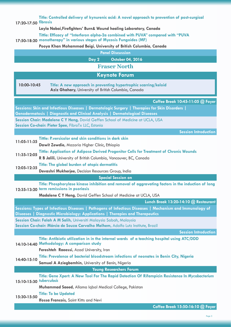| Title: Controlled delivery of kynurenic acid: A novel approach to prevention of post-surgical<br>17:20-17:50 fibrosis                                                                    |  |  |
|------------------------------------------------------------------------------------------------------------------------------------------------------------------------------------------|--|--|
| Layla Nabai, Firefighters' Burn& Wound healing Laboratory, Canada                                                                                                                        |  |  |
| Tittle: Efficacy of "Interferon alpha-2a combined with PUVA" compared with "PUVA                                                                                                         |  |  |
| 17:50-18:20 monotherapy" in various stages of Mycosis Fungoides (MF)                                                                                                                     |  |  |
| Pooya Khan Mohammad Beigi, University of British Columbia, Canada                                                                                                                        |  |  |
| <b>Panel Discussion</b>                                                                                                                                                                  |  |  |
| Day 2<br>October 04, 2016                                                                                                                                                                |  |  |
| <b>Fraser North</b>                                                                                                                                                                      |  |  |
| <b>Keynote Forum</b>                                                                                                                                                                     |  |  |
| 10:00-10:45<br>Title: A new approach in preventing hypertrophic scarring/keloid<br>Aziz Ghahary, University of British Columbia, Canada                                                  |  |  |
| Coffee Break 10:45-11:05 @ Foyer                                                                                                                                                         |  |  |
| Sessions: Skin and Infectious Diseases   Dermatologic Surgery   Therapies for Skin Disorders                                                                                             |  |  |
| Genodermatosis   Diagnostic and Clinical Analysis   Dermatological Diseases                                                                                                              |  |  |
| Session Chair: Madalene C Y Heng, David Geffen School of Medicine at UCLA, USA<br>Session Co-chair: Pieter Spee, FibroTx LLC, Estonia                                                    |  |  |
| <b>Session Introduction</b>                                                                                                                                                              |  |  |
| Tittle: P.versicolor and skin conditions in dark skin                                                                                                                                    |  |  |
| 11:05-11:35<br>Dawit Zewdie, Mazoria Higher Clinic, Ethiopia                                                                                                                             |  |  |
| Tittle: Application of Adipose Derived Progenitor Cells for Treatment of Chronic Wounds                                                                                                  |  |  |
| 11:35-12:05<br>R B Jalili, University of British Columbia, Vancouver, BC, Canada                                                                                                         |  |  |
| Title: The global burden of atopic dermatitis                                                                                                                                            |  |  |
| 12:05-12:35<br>Devashri Mukherjee, Decision Resources Group, India                                                                                                                       |  |  |
| <b>Special Session on</b>                                                                                                                                                                |  |  |
| Title: Phosphorylase kinase inhibition and removal of aggravating factors in the induction of long<br>12:35-13:20 term remissions in psoriasis                                           |  |  |
| Madalene C Y Heng, David Geffen School of Medicine at UCLA, USA                                                                                                                          |  |  |
| Lunch Break 13:20-14:10 @ Restaurant                                                                                                                                                     |  |  |
| Sessions: Types of Infectious Diseases   Pathogens of Infectious Diseases   Mechanism and Immunology of<br>Diseases   Diagnostic Microbiology: Applications   Therapies and Therapeutics |  |  |
| Session Chair: Falah A M Salih, Universiti Malaysia Sabah, Malaysia                                                                                                                      |  |  |
| Session Co-chair: Márcia de Souza Carvalho Melhem, Adolfo Lutz Institute, Brazil                                                                                                         |  |  |
| <b>Session Introduction</b>                                                                                                                                                              |  |  |
| Title: Antibiotic utilization in in the internal wards of a teaching hospital using ATC/DDD<br>14:10-14:40 Methodology: A comparison study                                               |  |  |
| Fereshteh Raeessi, Azad University, Iran                                                                                                                                                 |  |  |
| Title: Prevalence of bacterial bloodstream infections of neonates in Benin City, Nigeria<br>14:40-15:10                                                                                  |  |  |
| Samuel A Aziegbemhin, University of Benin, Nigeria                                                                                                                                       |  |  |
| <b>Young Researchers Forum</b>                                                                                                                                                           |  |  |
| Title: Gene Xpert: A New Tool For The Rapid Detection Of Rifampicin Resistance In Mycobacterium<br>15:10-15:30 tuberculosis                                                              |  |  |
| Muhammad Saeed, Allama Iqbal Medical College, Pakistan                                                                                                                                   |  |  |
| <b>Title: To be Updated</b><br>15:30-15:50                                                                                                                                               |  |  |
| <b>Ifossa Francois, Saint Kitts and Nevi</b>                                                                                                                                             |  |  |
| Coffee Break 15:50-16:10 @ Foyer                                                                                                                                                         |  |  |